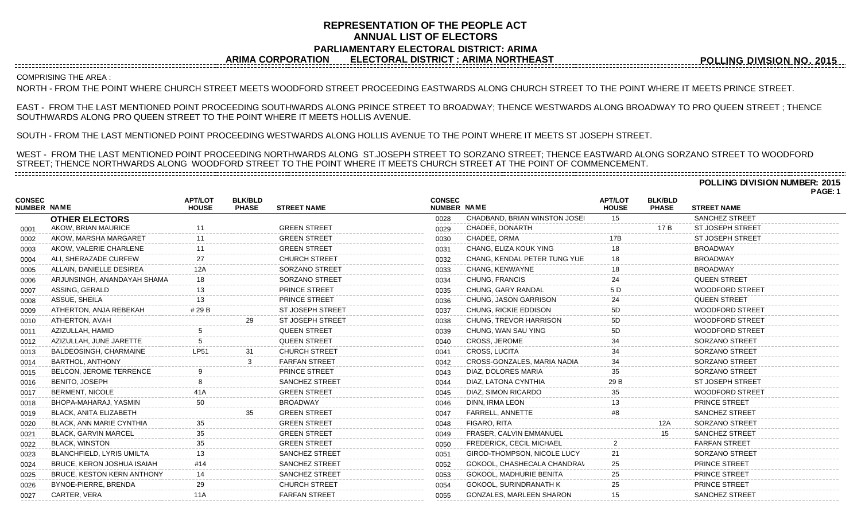## **REPRESENTATION OF THE PEOPLE ACT ANNUAL LIST OF ELECTORS PARLIAMENTARY ELECTORAL DISTRICT: ARIMA ARIMA CORPORATION ELECTORAL DISTRICT : ARIMA NORTHEAST**

**POLLING DIVISION NO. 2015**

**POLLING DIVISION NUMBER: 2015**

COMPRISING THE AREA :

NORTH - FROM THE POINT WHERE CHURCH STREET MEETS WOODFORD STREET PROCEEDING EASTWARDS ALONG CHURCH STREET TO THE POINT WHERE IT MEETS PRINCE STREET.

EAST - FROM THE LAST MENTIONED POINT PROCEEDING SOUTHWARDS ALONG PRINCE STREET TO BROADWAY; THENCE WESTWARDS ALONG BROADWAY TO PRO QUEEN STREET ; THENCE SOUTHWARDS ALONG PRO QUEEN STREET TO THE POINT WHERE IT MEETS HOLLIS AVENUE.

SOUTH - FROM THE LAST MENTIONED POINT PROCEEDING WESTWARDS ALONG HOLLIS AVENUE TO THE POINT WHERE IT MEETS ST JOSEPH STREET.

WEST - FROM THE LAST MENTIONED POINT PROCEEDING NORTHWARDS ALONG ST.JOSEPH STREET TO SORZANO STREET; THENCE EASTWARD ALONG SORZANO STREET TO WOODFORD STREET; THENCE NORTHWARDS ALONG WOODFORD STREET TO THE POINT WHERE IT MEETS CHURCH STREET AT THE POINT OF COMMENCEMENT. 

|                                     |                                   |                                |                                |                         |                              |                                 |                                |                                |                         | PAGE: 1 |
|-------------------------------------|-----------------------------------|--------------------------------|--------------------------------|-------------------------|------------------------------|---------------------------------|--------------------------------|--------------------------------|-------------------------|---------|
| <b>CONSEC</b><br><b>NUMBER NAME</b> |                                   | <b>APT/LOT</b><br><b>HOUSE</b> | <b>BLK/BLD</b><br><b>PHASE</b> | <b>STREET NAME</b>      | <b>CONSEC</b><br>NUMBER NAME |                                 | <b>APT/LOT</b><br><b>HOUSE</b> | <b>BLK/BLD</b><br><b>PHASE</b> | <b>STREET NAME</b>      |         |
|                                     | <b>OTHER ELECTORS</b>             |                                |                                |                         | 0028                         | CHADBAND, BRIAN WINSTON JOSEI   | 15                             |                                | <b>SANCHEZ STREET</b>   |         |
| 0001                                | AKOW, BRIAN MAURICE               |                                |                                | <b>GREEN STREET</b>     | 0029                         | CHADEE, DONARTH                 |                                | 17 B                           | <b>ST JOSEPH STREET</b> |         |
| 0002                                | AKOW, MARSHA MARGARET             |                                |                                | <b>GREEN STREET</b>     | 0030                         | CHADEE, ORMA                    | 17B                            |                                | <b>ST JOSEPH STREET</b> |         |
| 0003                                | AKOW, VALERIE CHARLENE            |                                |                                | <b>GREEN STREET</b>     | 0031                         | CHANG, ELIZA KOUK YING          | 18                             |                                | <b>BROADWAY</b>         |         |
| 0004                                | ALI, SHERAZADE CURFEW             | 27                             |                                | <b>CHURCH STREET</b>    | 0032                         | CHANG, KENDAL PETER TUNG YUE    | 18                             |                                | <b>BROADWAY</b>         |         |
| 0005                                | ALLAIN, DANIELLE DESIREA          |                                |                                | SORZANO STREET          | 0033                         | CHANG, KENWAYNE                 |                                |                                | <b>BROADWAY</b>         |         |
| 0006                                | ARJUNSINGH, ANANDAYAH SHAMA       |                                |                                | <b>SORZANO STREET</b>   | 0034                         | CHUNG, FRANCIS                  |                                |                                | <b>QUEEN STREET</b>     |         |
| 0007                                | ASSING, GERALD                    |                                |                                | PRINCE STREET           | 0035                         | CHUNG, GARY RANDAL              | 5 D                            |                                | WOODFORD STREET         |         |
| 0008                                | ASSUE, SHEILA                     |                                |                                | PRINCE STREET           | 0036                         | CHUNG, JASON GARRISON           |                                |                                | <b>QUEEN STREET</b>     |         |
| 0009                                | ATHERTON, ANJA REBEKAH            | # 29 B                         |                                | ST JOSEPH STREET        | 0037                         | CHUNG, RICKIE EDDISON           | 5D                             |                                | <b>WOODFORD STREET</b>  |         |
| 0010                                | ATHERTON, AVAH                    |                                |                                | <b>ST JOSEPH STREET</b> | 0038                         | CHUNG, TREVOR HARRISON          | 5D                             |                                | <b>WOODFORD STREET</b>  |         |
| 0011                                | AZIZULLAH, HAMID                  |                                |                                | <b>QUEEN STREET</b>     | 0039                         | CHUNG, WAN SAU YING             | 5D                             |                                | <b>WOODFORD STREET</b>  |         |
| 0012                                | AZIZULLAH, JUNE JARETTE           |                                |                                | <b>QUEEN STREET</b>     | 0040                         | <b>CROSS, JEROME</b>            | 34                             |                                | SORZANO STREET          |         |
| 0013                                | BALDEOSINGH, CHARMAINE            | <b>LP51</b>                    | 31                             | <b>CHURCH STREET</b>    | 0041                         | CROSS, LUCITA                   | 34                             |                                | SORZANO STREET          |         |
| 0014                                | <b>BARTHOL, ANTHONY</b>           |                                |                                | <b>FARFAN STREET</b>    | 0042                         | CROSS-GONZALES, MARIA NADIA     | 34                             |                                | SORZANO STREET          |         |
| 0015                                | BELCON, JEROME TERRENCE           |                                |                                | PRINCE STREET           | 0043                         | DIAZ, DOLORES MARIA             | 35                             |                                | SORZANO STREET          |         |
| 0016                                | BENITO, JOSEPH                    |                                |                                | <b>SANCHEZ STREET</b>   | 0044                         | DIAZ, LATONA CYNTHIA            | 29 B                           |                                | <b>ST JOSEPH STREET</b> |         |
| 0017                                | <b>BERMENT, NICOLE</b>            |                                |                                | <b>GREEN STREET</b>     | 0045                         | DIAZ, SIMON RICARDO             |                                |                                | <b>WOODFORD STREET</b>  |         |
| 0018                                | BHOPA-MAHARAJ, YASMIN             |                                |                                | <b>BROADWAY</b>         | 0046                         | DINN, IRMA LEON                 |                                |                                | <b>PRINCE STREET</b>    |         |
| 0019                                | <b>BLACK, ANITA ELIZABETH</b>     |                                |                                | <b>GREEN STREET</b>     | 0047                         | <b>FARRELL, ANNETTE</b>         |                                |                                | SANCHEZ STREET          |         |
| 0020                                | <b>BLACK, ANN MARIE CYNTHIA</b>   | 35                             |                                | <b>GREEN STREET</b>     | 0048                         | FIGARO, RITA                    |                                | 12A                            | <b>SORZANO STREET</b>   |         |
| 0021                                | <b>BLACK, GARVIN MARCEL</b>       |                                |                                | <b>GREEN STREET</b>     | 0049                         | FRASER, CALVIN EMMANUEL         |                                |                                | <b>SANCHEZ STREET</b>   |         |
| 0022                                | <b>BLACK, WINSTON</b>             |                                |                                | <b>GREEN STREET</b>     | 0050                         | <b>FREDERICK, CECIL MICHAEL</b> |                                |                                | <b>FARFAN STREET</b>    |         |
| 0023                                | BLANCHFIELD, LYRIS UMILTA         | 13                             |                                | <b>SANCHEZ STREET</b>   | 0051                         | GIROD-THOMPSON, NICOLE LUCY     | 21                             |                                | SORZANO STREET          |         |
| 0024                                | BRUCE, KERON JOSHUA ISAIAH        | #14                            |                                | <b>SANCHEZ STREET</b>   | 0052                         | GOKOOL, CHASHECALA CHANDRAV     | 25                             |                                | PRINCE STREET           |         |
| 0025                                | <b>BRUCE, KESTON KERN ANTHONY</b> | 14                             |                                | <b>SANCHEZ STREET</b>   | 0053                         | GOKOOL, MADHURIE BENITA         | 25                             |                                | <b>PRINCE STREET</b>    |         |
| 0026                                | BYNOE-PIERRE, BRENDA              | 29                             |                                | <b>CHURCH STREET</b>    | 0054                         | GOKOOL, SURINDRANATH K          | 25                             |                                | <b>PRINCE STREET</b>    |         |
| 0027                                | CARTER, VERA                      | 11A                            |                                | <b>FARFAN STREET</b>    | 0055                         | <b>GONZALES, MARLEEN SHARON</b> | 15                             |                                | <b>SANCHEZ STREET</b>   |         |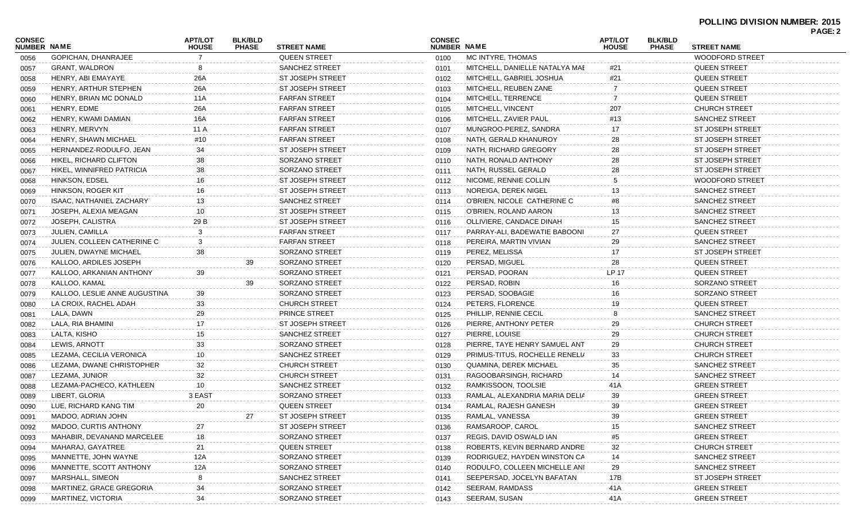## **POLLING DIVISION NUMBER: 2015 PAGE: 2**

|                              |                               |                                |                                |                         |                              |                                |                                |                                |                         | FAUL.Z |
|------------------------------|-------------------------------|--------------------------------|--------------------------------|-------------------------|------------------------------|--------------------------------|--------------------------------|--------------------------------|-------------------------|--------|
| CONSEC<br><b>NUMBER NAME</b> |                               | <b>APT/LOT</b><br><b>HOUSE</b> | <b>BLK/BLD</b><br><b>PHASE</b> | <b>STREET NAME</b>      | <b>CONSEC</b><br>NUMBER NAME |                                | <b>APT/LOT</b><br><b>HOUSE</b> | <b>BLK/BLD</b><br><b>PHASE</b> | <b>STREET NAME</b>      |        |
| 0056                         | GOPICHAN, DHANRAJEE           |                                |                                | <b>QUEEN STREET</b>     | 0100                         | MC INTYRE, THOMAS              |                                |                                | <b>WOODFORD STREET</b>  |        |
| 0057                         | GRANT, WALDRON                |                                |                                | SANCHEZ STREET          | 0101                         | MITCHELL, DANIELLE NATALYA MAE | #21                            |                                | <b>QUEEN STREET</b>     |        |
| 0058                         | HENRY, ABI EMAYAYE            | 26A                            |                                | <b>ST JOSEPH STREET</b> | 0102                         | MITCHELL, GABRIEL JOSHUA       | #21                            |                                | <b>QUEEN STREET</b>     |        |
| 0059                         | HENRY, ARTHUR STEPHEN         | 26A                            |                                | <b>ST JOSEPH STREET</b> | 0103                         | MITCHELL, REUBEN ZANE          |                                |                                | <b>QUEEN STREET</b>     |        |
| 0060                         | HENRY, BRIAN MC DONALD        | 11A                            |                                | <b>FARFAN STREET</b>    | 0104                         | MITCHELL, TERRENCE             |                                |                                | <b>QUEEN STREET</b>     |        |
| 0061                         | HENRY, EDME                   | 26A                            |                                | <b>FARFAN STREET</b>    | 0105                         | MITCHELL, VINCENT              | 207                            |                                | <b>CHURCH STREET</b>    |        |
| 0062                         | HENRY, KWAMI DAMIAN           | 16A                            |                                | <b>FARFAN STREET</b>    | 0106                         | MITCHELL, ZAVIER PAUL          | #13                            |                                | SANCHEZ STREET          |        |
| 0063                         | HENRY, MERVYN                 | 11 A                           |                                | <b>FARFAN STREET</b>    | 0107                         | MUNGROO-PEREZ, SANDRA          | 17                             |                                | ST JOSEPH STREET        |        |
| 0064                         | HENRY, SHAWN MICHAEL          | #10                            |                                | <b>FARFAN STREET</b>    | 0108                         | NATH, GERALD KHANUROY          | 28                             |                                | <b>ST JOSEPH STREET</b> |        |
| 0065                         | HERNANDEZ-RODULFO, JEAN       | 34                             |                                | <b>ST JOSEPH STREET</b> | 0109                         | NATH, RICHARD GREGORY          | 28                             |                                | ST JOSEPH STREET        |        |
| 0066                         | HIKEL, RICHARD CLIFTON        | 38                             |                                | SORZANO STREET          | 0110                         | NATH, RONALD ANTHONY           | 28                             |                                | ST JOSEPH STREET        |        |
| 0067                         | HIKEL, WINNIFRED PATRICIA     | 38                             |                                | SORZANO STREET          | 0111                         | NATH, RUSSEL GERALD            | 28                             |                                | ST JOSEPH STREET        |        |
| 0068                         | HINKSON, EDSEL                | 16                             |                                | ST JOSEPH STREET        | 0112                         | NICOME, RENNIE COLLIN          |                                |                                | WOODFORD STREET         |        |
| 0069                         | HINKSON, ROGER KIT            | 16                             |                                | <b>ST JOSEPH STREET</b> | 0113                         | NOREIGA, DEREK NIGEL           |                                |                                | <b>SANCHEZ STREET</b>   |        |
| 0070                         | ISAAC, NATHANIEL ZACHARY      | 13                             |                                | SANCHEZ STREET          | 0114                         | O'BRIEN, NICOLE CATHERINE C    |                                |                                | <b>SANCHEZ STREET</b>   |        |
| 0071                         | JOSEPH, ALEXIA MEAGAN         | 10                             |                                | <b>ST JOSEPH STREET</b> | 0115                         | O'BRIEN, ROLAND AARON          | 13                             |                                | SANCHEZ STREET          |        |
| 0072                         | JOSEPH, CALISTRA              | 29 B                           |                                | <b>ST JOSEPH STREET</b> | 0116                         | OLLIVIERE, CANDACE DINAH       | 15                             |                                | SANCHEZ STREET          |        |
| 0073                         | JULIEN, CAMILLA               |                                |                                | <b>FARFAN STREET</b>    | 0117                         | PARRAY-ALI, BADEWATIE BABOONI  | 27                             |                                | <b>QUEEN STREET</b>     |        |
| 0074                         | JULIEN, COLLEEN CATHERINE C   |                                |                                | <b>FARFAN STREET</b>    | 0118                         | PEREIRA, MARTIN VIVIAN         | 29                             |                                | <b>SANCHEZ STREET</b>   |        |
| 0075                         | <b>JULIEN, DWAYNE MICHAEL</b> | 38                             |                                | SORZANO STREET          | 0119                         | PEREZ, MELISSA                 | 17                             |                                | ST JOSEPH STREET        |        |
| 0076                         | KALLOO, ARDILES JOSEPH        |                                | 39                             | <b>SORZANO STREET</b>   | 0120                         | PERSAD, MIGUEL                 | 28                             |                                | <b>QUEEN STREET</b>     |        |
| 0077                         | KALLOO, ARKANIAN ANTHONY      | 39                             |                                | SORZANO STREET          | 0121                         | PERSAD, POORAN                 | <b>LP 17</b>                   |                                | <b>QUEEN STREET</b>     |        |
| 0078                         | KALLOO, KAMAL                 |                                | 39                             | SORZANO STREET          | 0122                         | PERSAD, ROBIN                  | 16                             |                                | SORZANO STREET          |        |
| 0079                         | KALLOO, LESLIE ANNE AUGUSTINA | 39                             |                                | SORZANO STREET          | 0123                         | PERSAD, SOOBAGIE               | 16                             |                                | SORZANO STREET          |        |
| 0080                         | LA CROIX, RACHEL ADAH         | 33                             |                                | <b>CHURCH STREET</b>    | 0124                         | PETERS, FLORENCE               |                                |                                | <b>QUEEN STREET</b>     |        |
| 0081                         | LALA, DAWN                    | 29                             |                                | PRINCE STREET           | 0125                         | PHILLIP, RENNIE CECIL          |                                |                                | <b>SANCHEZ STREET</b>   |        |
| 0082                         | LALA, RIA BHAMINI             | 17                             |                                | ST JOSEPH STREET        | 0126                         | PIERRE, ANTHONY PETER          | 29                             |                                | <b>CHURCH STREET</b>    |        |
| 0083                         | LALTA, KISHO                  | 15                             |                                | <b>SANCHEZ STREET</b>   | 0127                         | PIERRE, LOUISE                 | 29                             |                                | <b>CHURCH STREET</b>    |        |
| 0084                         | LEWIS, ARNOTT                 | 33                             |                                | SORZANO STREET          | 0128                         | PIERRE, TAYE HENRY SAMUEL ANT  | 29                             |                                | <b>CHURCH STREET</b>    |        |
| 0085                         | LEZAMA, CECILIA VERONICA      | 10                             |                                | SANCHEZ STREET          | 0129                         | PRIMUS-TITUS, ROCHELLE RENELIA | 33                             |                                | <b>CHURCH STREET</b>    |        |
| 0086                         | LEZAMA, DWANE CHRISTOPHER     | 32                             |                                | <b>CHURCH STREET</b>    | 0130                         | QUAMINA, DEREK MICHAEL         |                                |                                | <b>SANCHEZ STREET</b>   |        |
| 0087                         | LEZAMA, JUNIOR                | 32                             |                                | <b>CHURCH STREET</b>    | 0131                         | RAGOOBARSINGH, RICHARD         | 14                             |                                | <b>SANCHEZ STREET</b>   |        |
| 0088                         | LEZAMA-PACHECO, KATHLEEN      | 10                             |                                | <b>SANCHEZ STREET</b>   | 0132                         | RAMKISSOON, TOOLSIE            | 41 A                           |                                | <b>GREEN STREET</b>     |        |
| 0089                         | LIBERT, GLORIA                | 3 EAST                         |                                | SORZANO STREET          | 0133                         | RAMLAL, ALEXANDRIA MARIA DELIA | 39                             |                                | <b>GREEN STREET</b>     |        |
| 0090                         | LUE, RICHARD KANG TIM         | 20                             |                                | <b>QUEEN STREET</b>     | 0134                         | RAMLAL, RAJESH GANESH          | 39                             |                                | <b>GREEN STREET</b>     |        |
| 0091                         | MADOO, ADRIAN JOHN            |                                | 21                             | ST JOSEPH STREET        | 0135                         | RAMLAL, VANESSA                | 39                             |                                | <b>GREEN STREET</b>     |        |
| 0092                         | MADOO, CURTIS ANTHONY         | 27                             |                                | ST JOSEPH STREET        | 0136                         | RAMSAROOP, CAROL               |                                |                                | <b>SANCHEZ STREET</b>   |        |
| 0093                         | MAHABIR, DEVANAND MARCELEE    | 18                             |                                | SORZANO STREET          | 0137                         | REGIS, DAVID OSWALD IAN        |                                |                                | <b>GREEN STREET</b>     |        |
| 0094                         | MAHARAJ, GAYATREE             | 21                             |                                | <b>QUEEN STREET</b>     | 0138                         | ROBERTS, KEVIN BERNARD ANDRE   | 32                             |                                | <b>CHURCH STREET</b>    |        |
| 0095                         | MANNETTE, JOHN WAYNE          | 12A                            |                                | SORZANO STREET          | 0139                         | RODRIGUEZ, HAYDEN WINSTON CA   | 14                             |                                | <b>SANCHEZ STREET</b>   |        |
| 0096                         | MANNETTE, SCOTT ANTHONY       | 12A                            |                                | SORZANO STREET          | 0140                         | RODULFO, COLLEEN MICHELLE ANI  | 29                             |                                | <b>SANCHEZ STREET</b>   |        |
|                              | <b>MARSHALL, SIMEON</b>       |                                |                                | <b>SANCHEZ STREET</b>   |                              | SEEPERSAD, JOCELYN BAFATAN     | 17B                            |                                | ST JOSEPH STREET        |        |
| 0097                         | MARTINEZ, GRACE GREGORIA      | 34                             |                                | SORZANO STREET          | 0141                         | <b>SEERAM, RAMDASS</b>         |                                |                                | <b>GREEN STREET</b>     |        |
| 0098                         | MARTINEZ, VICTORIA            | 34                             |                                | SORZANO STREET          | 0142                         | SEERAM, SUSAN                  | 41 A<br>41 A                   |                                | <b>GREEN STREET</b>     |        |
| 0099                         |                               |                                |                                |                         | 0143                         |                                |                                |                                |                         |        |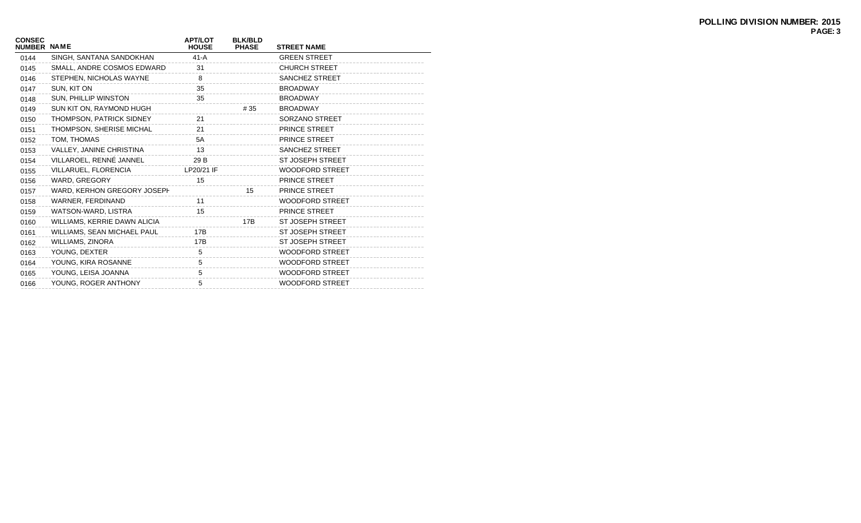| <b>CONSEC</b><br><b>NUMBER NAME</b> |                              | <b>APT/LOT</b><br><b>HOUSE</b> | <b>BLK/BLD</b><br><b>PHASE</b> | <b>STREET NAME</b>      |
|-------------------------------------|------------------------------|--------------------------------|--------------------------------|-------------------------|
| 0144                                | SINGH, SANTANA SANDOKHAN     | $41-A$                         |                                | <b>GREEN STREET</b>     |
| 0145                                | SMALL, ANDRE COSMOS EDWARD   | 31                             |                                | <b>CHURCH STREET</b>    |
| 0146                                | STEPHEN, NICHOLAS WAYNE      | 8                              |                                | <b>SANCHEZ STREET</b>   |
| 0147                                | SUN, KIT ON                  | 35                             |                                | <b>BROADWAY</b>         |
| 0148                                | SUN, PHILLIP WINSTON         | 35                             |                                | <b>BROADWAY</b>         |
| 0149                                | SUN KIT ON, RAYMOND HUGH     |                                | # 35                           | <b>BROADWAY</b>         |
| 0150                                | THOMPSON, PATRICK SIDNEY     | 21                             |                                | SORZANO STREET          |
| 0151                                | THOMPSON, SHERISE MICHAL     | 21                             |                                | <b>PRINCE STREET</b>    |
| 0152                                | TOM, THOMAS                  | 5A                             |                                | PRINCE STREET           |
| 0153                                | VALLEY, JANINE CHRISTINA     | 13                             |                                | <b>SANCHEZ STREET</b>   |
| 0154                                | VILLAROEL, RENNÉ JANNEL      | 29 B                           |                                | <b>ST JOSEPH STREET</b> |
| 0155                                | VILLARUEL, FLORENCIA         | LP20/21 IF                     |                                | <b>WOODFORD STREET</b>  |
| 0156                                | WARD, GREGORY                | 15                             |                                | PRINCE STREET           |
| 0157                                | WARD, KERHON GREGORY JOSEPH  |                                | 15                             | <b>PRINCE STREET</b>    |
| 0158                                | WARNER, FERDINAND            | 11                             |                                | <b>WOODFORD STREET</b>  |
| 0159                                | WATSON-WARD, LISTRA          | 15                             |                                | PRINCE STREET           |
| 0160                                | WILLIAMS, KERRIE DAWN ALICIA |                                | 17B                            | <b>ST JOSEPH STREET</b> |
| 0161                                | WILLIAMS, SEAN MICHAEL PAUL  | 17B                            |                                | <b>ST JOSEPH STREET</b> |
| 0162                                | <b>WILLIAMS, ZINORA</b>      | 17B                            |                                | <b>ST JOSEPH STREET</b> |
| 0163                                | YOUNG, DEXTER                | 5                              |                                | <b>WOODFORD STREET</b>  |
| 0164                                | YOUNG, KIRA ROSANNE          | 5                              |                                | <b>WOODFORD STREET</b>  |
| 0165                                | YOUNG, LEISA JOANNA          | 5                              |                                | <b>WOODFORD STREET</b>  |
| 0166                                | YOUNG, ROGER ANTHONY         | 5                              |                                | <b>WOODFORD STREET</b>  |